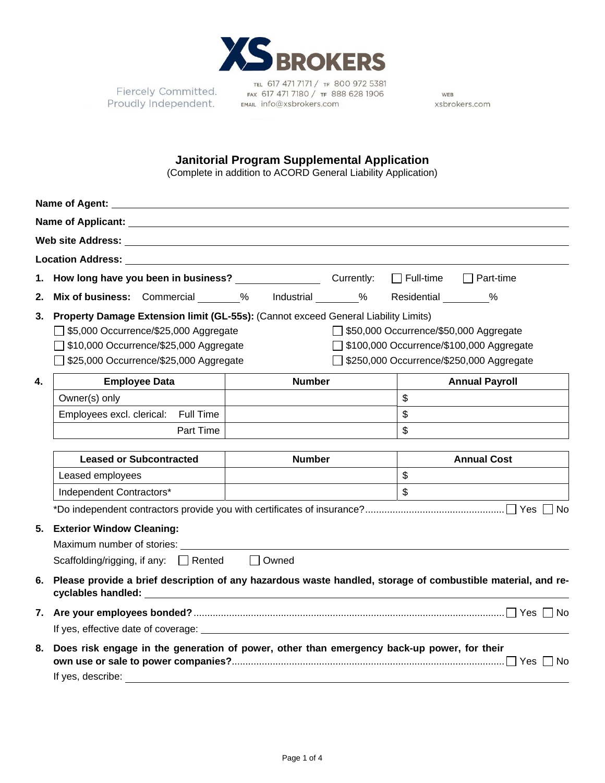

Fiercely Committed.<br>roudly Independent. Proudly Independent.

TEL 617 471 7171 / TF 800 972 5381<br>Fax 617 471 7180 / TF 888 628 1906 EMAIL info@xsbrokers.com

WEB xsbrokers.com

## **Janitorial Program Supplemental Application**

(Complete in addition to ACORD General Liability Application)

| Name of Agent:<br><u> 1989 - Johann Barn, amerikan besteman besteman besteman besteman besteman besteman besteman besteman besteman</u> |                                                                                                                 |               |  |                                            |  |  |  |  |
|-----------------------------------------------------------------------------------------------------------------------------------------|-----------------------------------------------------------------------------------------------------------------|---------------|--|--------------------------------------------|--|--|--|--|
|                                                                                                                                         |                                                                                                                 |               |  |                                            |  |  |  |  |
|                                                                                                                                         |                                                                                                                 |               |  |                                            |  |  |  |  |
| Location Address: University of the Contract of the Contract of the Contract of the Contract of the Contract of                         |                                                                                                                 |               |  |                                            |  |  |  |  |
| 1.                                                                                                                                      |                                                                                                                 |               |  | $\Box$ Part-time<br>$\Box$ Full-time       |  |  |  |  |
| 2.                                                                                                                                      | Mix of business: Commercial 200 % Industrial 200 %                                                              |               |  | Residential %                              |  |  |  |  |
| 3.                                                                                                                                      | Property Damage Extension limit (GL-55s): (Cannot exceed General Liability Limits)                              |               |  |                                            |  |  |  |  |
|                                                                                                                                         | $\Box$ \$5,000 Occurrence/\$25,000 Aggregate<br>550,000 Occurrence/\$50,000 Aggregate                           |               |  |                                            |  |  |  |  |
|                                                                                                                                         | \$10,000 Occurrence/\$25,000 Aggregate                                                                          |               |  | □ \$100,000 Occurrence/\$100,000 Aggregate |  |  |  |  |
|                                                                                                                                         | \$25,000 Occurrence/\$25,000 Aggregate                                                                          |               |  | \$250,000 Occurrence/\$250,000 Aggregate   |  |  |  |  |
| 4.                                                                                                                                      | <b>Employee Data</b>                                                                                            | <b>Number</b> |  | <b>Annual Payroll</b>                      |  |  |  |  |
|                                                                                                                                         | Owner(s) only                                                                                                   |               |  | $\mathfrak{S}$                             |  |  |  |  |
|                                                                                                                                         | Employees excl. clerical: Full Time                                                                             |               |  | \$                                         |  |  |  |  |
|                                                                                                                                         | Part Time                                                                                                       |               |  | \$                                         |  |  |  |  |
|                                                                                                                                         |                                                                                                                 |               |  |                                            |  |  |  |  |
|                                                                                                                                         | <b>Leased or Subcontracted</b>                                                                                  | <b>Number</b> |  | <b>Annual Cost</b>                         |  |  |  |  |
|                                                                                                                                         | Leased employees                                                                                                |               |  | $\mathbb{S}$                               |  |  |  |  |
|                                                                                                                                         | Independent Contractors*                                                                                        |               |  | $\mathfrak{S}$                             |  |  |  |  |
|                                                                                                                                         |                                                                                                                 |               |  |                                            |  |  |  |  |
| 5.                                                                                                                                      | <b>Exterior Window Cleaning:</b>                                                                                |               |  |                                            |  |  |  |  |
|                                                                                                                                         |                                                                                                                 |               |  |                                            |  |  |  |  |
|                                                                                                                                         | Scaffolding/rigging, if any: $\Box$ Rented                                                                      | $\Box$ Owned  |  |                                            |  |  |  |  |
| 6.                                                                                                                                      | Please provide a brief description of any hazardous waste handled, storage of combustible material, and re-     |               |  |                                            |  |  |  |  |
| 7.                                                                                                                                      |                                                                                                                 |               |  |                                            |  |  |  |  |
|                                                                                                                                         |                                                                                                                 |               |  |                                            |  |  |  |  |
| 8.                                                                                                                                      | Does risk engage in the generation of power, other than emergency back-up power, for their<br>If yes, describe: |               |  |                                            |  |  |  |  |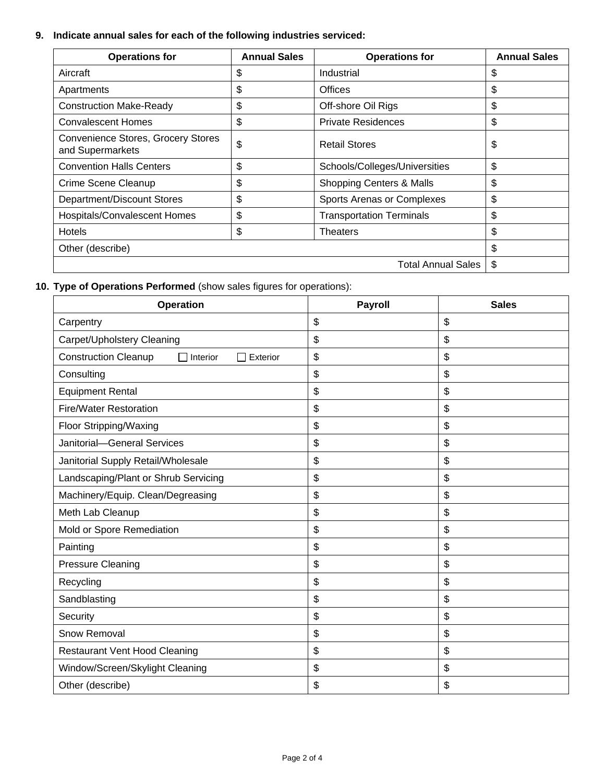## **9. Indicate annual sales for each of the following industries serviced:**

| <b>Operations for</b>                                         | <b>Annual Sales</b> | <b>Operations for</b>               | <b>Annual Sales</b> |
|---------------------------------------------------------------|---------------------|-------------------------------------|---------------------|
| Aircraft                                                      | \$                  | Industrial                          | \$                  |
| Apartments                                                    | \$                  | Offices                             | \$                  |
| <b>Construction Make-Ready</b>                                | \$                  | Off-shore Oil Rigs                  | \$                  |
| <b>Convalescent Homes</b>                                     | \$                  | <b>Private Residences</b>           | \$                  |
| <b>Convenience Stores, Grocery Stores</b><br>and Supermarkets | \$                  | <b>Retail Stores</b>                | \$                  |
| <b>Convention Halls Centers</b>                               | \$                  | Schools/Colleges/Universities       | \$                  |
| Crime Scene Cleanup                                           | \$                  | <b>Shopping Centers &amp; Malls</b> | \$                  |
| Department/Discount Stores                                    | \$                  | Sports Arenas or Complexes          | \$                  |
| Hospitals/Convalescent Homes                                  | \$                  | <b>Transportation Terminals</b>     | \$                  |
| <b>Hotels</b>                                                 | \$                  | Theaters                            | \$                  |
| Other (describe)                                              | \$                  |                                     |                     |
|                                                               | \$                  |                                     |                     |

## **10. Type of Operations Performed** (show sales figures for operations):

| <b>Operation</b>                                         | Payroll | <b>Sales</b>              |
|----------------------------------------------------------|---------|---------------------------|
| Carpentry                                                | \$      | \$                        |
| Carpet/Upholstery Cleaning                               | \$      | $\boldsymbol{\mathsf{S}}$ |
| <b>Construction Cleanup</b><br>Interior<br>Exterior<br>П | \$      | \$                        |
| Consulting                                               | \$      | \$                        |
| <b>Equipment Rental</b>                                  | \$      | \$                        |
| <b>Fire/Water Restoration</b>                            | \$      | \$                        |
| Floor Stripping/Waxing                                   | \$      | \$                        |
| Janitorial-General Services                              | \$      | \$                        |
| Janitorial Supply Retail/Wholesale                       | \$      | \$                        |
| Landscaping/Plant or Shrub Servicing                     | \$      | $\boldsymbol{\mathsf{S}}$ |
| Machinery/Equip. Clean/Degreasing                        | \$      | \$                        |
| Meth Lab Cleanup                                         | \$      | \$                        |
| Mold or Spore Remediation                                | \$      | \$                        |
| Painting                                                 | \$      | \$                        |
| <b>Pressure Cleaning</b>                                 | \$      | \$                        |
| Recycling                                                | \$      | \$                        |
| Sandblasting                                             | \$      | \$                        |
| Security                                                 | \$      | \$                        |
| Snow Removal                                             | \$      | \$                        |
| <b>Restaurant Vent Hood Cleaning</b>                     | \$      | \$                        |
| Window/Screen/Skylight Cleaning                          | \$      | $\boldsymbol{\mathsf{S}}$ |
| Other (describe)                                         | \$      | \$                        |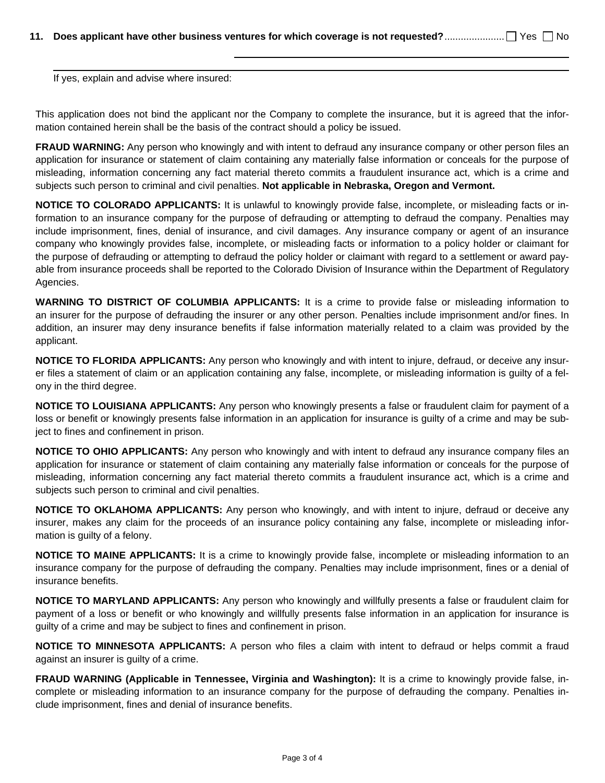If yes, explain and advise where insured:

This application does not bind the applicant nor the Company to complete the insurance, but it is agreed that the information contained herein shall be the basis of the contract should a policy be issued.

**FRAUD WARNING:** Any person who knowingly and with intent to defraud any insurance company or other person files an application for insurance or statement of claim containing any materially false information or conceals for the purpose of misleading, information concerning any fact material thereto commits a fraudulent insurance act, which is a crime and subjects such person to criminal and civil penalties. **Not applicable in Nebraska, Oregon and Vermont.**

**NOTICE TO COLORADO APPLICANTS:** It is unlawful to knowingly provide false, incomplete, or misleading facts or information to an insurance company for the purpose of defrauding or attempting to defraud the company. Penalties may include imprisonment, fines, denial of insurance, and civil damages. Any insurance company or agent of an insurance company who knowingly provides false, incomplete, or misleading facts or information to a policy holder or claimant for the purpose of defrauding or attempting to defraud the policy holder or claimant with regard to a settlement or award payable from insurance proceeds shall be reported to the Colorado Division of Insurance within the Department of Regulatory Agencies.

**WARNING TO DISTRICT OF COLUMBIA APPLICANTS:** It is a crime to provide false or misleading information to an insurer for the purpose of defrauding the insurer or any other person. Penalties include imprisonment and/or fines. In addition, an insurer may deny insurance benefits if false information materially related to a claim was provided by the applicant.

**NOTICE TO FLORIDA APPLICANTS:** Any person who knowingly and with intent to injure, defraud, or deceive any insurer files a statement of claim or an application containing any false, incomplete, or misleading information is guilty of a felony in the third degree.

**NOTICE TO LOUISIANA APPLICANTS:** Any person who knowingly presents a false or fraudulent claim for payment of a loss or benefit or knowingly presents false information in an application for insurance is guilty of a crime and may be subject to fines and confinement in prison.

**NOTICE TO OHIO APPLICANTS:** Any person who knowingly and with intent to defraud any insurance company files an application for insurance or statement of claim containing any materially false information or conceals for the purpose of misleading, information concerning any fact material thereto commits a fraudulent insurance act, which is a crime and subjects such person to criminal and civil penalties.

**NOTICE TO OKLAHOMA APPLICANTS:** Any person who knowingly, and with intent to injure, defraud or deceive any insurer, makes any claim for the proceeds of an insurance policy containing any false, incomplete or misleading information is guilty of a felony.

**NOTICE TO MAINE APPLICANTS:** It is a crime to knowingly provide false, incomplete or misleading information to an insurance company for the purpose of defrauding the company. Penalties may include imprisonment, fines or a denial of insurance benefits.

**NOTICE TO MARYLAND APPLICANTS:** Any person who knowingly and willfully presents a false or fraudulent claim for payment of a loss or benefit or who knowingly and willfully presents false information in an application for insurance is guilty of a crime and may be subject to fines and confinement in prison.

**NOTICE TO MINNESOTA APPLICANTS:** A person who files a claim with intent to defraud or helps commit a fraud against an insurer is guilty of a crime.

**FRAUD WARNING (Applicable in Tennessee, Virginia and Washington):** It is a crime to knowingly provide false, incomplete or misleading information to an insurance company for the purpose of defrauding the company. Penalties include imprisonment, fines and denial of insurance benefits.